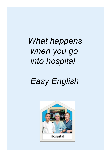# *What happens when you go into hospital*

# *Easy English*

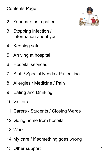#### Contents Page

- 2 Your care as a patient
- 3 Stopping infection / Information about you
- 4 Keeping safe
- 5 Arriving at hospital
- 6 Hospital services
- 7 Staff / Special Needs / Patientline
- 8 Allergies / Medicine / Pain
- 9 Eating and Drinking
- 10 Visitors
- 11 Carers / Students / Closing Wards
- 12 Going home from hospital
- 13 Work
- 14 My care / If something goes wrong
- 15 Other support 1.

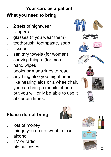# **Your care as a patient What you need to bring**

- . 2 sets of nightwear
- . slippers
- . glasses (if you wear them)
- . toothbrush, toothpaste, soap
- tissues
- sanitary towels (for women)
- shaving things (for men)
- . hand wipes
- . books or magazines to read
- . anything else you might need like hearing aids or a wheelchair.
- you can bring a mobile phone but you will only be able to use it at certain times.

. things you do not want to lose





SOAP

# **Please do not bring**

lots of money











. big suitcases

. TV or radio

. alcohol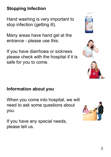# **Stopping Infection**

Hand washing is very important to stop infection (getting ill).

Many areas have hand gel at the entrance - please use this.

If you have diarrhoea or sickness please check with the hospital if it is safe for you to come.





# **Information about you**

When you come into hospital, we will need to ask some questions about you.

If you have any special needs, please tell us.

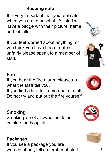# **Keeping safe**

It is very important that you feel safe when you are in hospital. All staff will have a badge with their picture, name and job title.

If you feel worried about anything, or you think you have been treated unfairly please speak to a member of staff.

# **Fire**

If you hear the fire alarm, please do what the staff tell you.

If you find a fire, tell a member of staff. Do not try and put out the fire yourself.

#### **Smoking**

Smoking is not allowed inside or outside the hospital.

### **Packages**

If you see a package you are worried about, tell a member of staff.











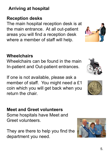# **Arriving at hospital**

# **Reception desks**

The main hospital reception desk is at the main entrance. At all out-patient areas you will find a reception desk where a member of staff will help.

# **Wheelchairs**

Wheelchairs can be found in the main In-patient and Out-patient entrances.

If one is not available, please ask a member of staff. You might need a £1 coin which you will get back when you return the chair.

**Meet and Greet volunteers** Some hospitals have Meet and Greet volunteers.

They are there to help you find the department you need.







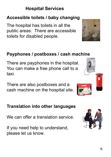# **Hospital Services**

#### **Accessible toilets / baby changing**

The hospital has toilets in all the public areas. There are accessible toilets for disabled people.

#### **Payphones / postboxes / cash machine**

There are payphones in the hospital. You can make a free phone call to a taxi.

There are also postboxes and a cash machine on the hospital site.

#### **Translation into other languages**

We can offer a translation service.

If you need help to understand, please let us know.





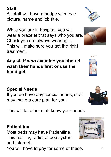# **Special Needs**

If you do have any special needs, staff may make a care plan for you.

This will let other staff know your needs.

### **Patientline**

Most beds may have Patientline. This has TV, radio, a loop system and internet.

You will have to pay for some of these.

#### **Staff**

All staff will have a badge with their picture, name and job title.

While you are in hospital, you will wear a bracelet that says who you are. Check you are always wearing it. This will make sure you get the right treatment.

**Any staff who examine you should wash their hands first or use the hand gel.**







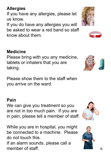**Allergies**

If you have any allergies, please let us know.

If you do have any allergies you will be asked to wear a red band so staff know about them.

### **Medicine**

Please bring with you any medicine, tablets or inhalers that you are taking.

Please show them to the staff when you arrive on the ward.

#### **Pain**

member of staff.

We can give you treatment so you are not in too much pain. If you are in pain, please tell a member of staff.

While you are in hospital, you might be connected to a machine. Please do not touch this. If an alarm sounds, please call a









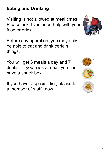# **Eating and Drinking**

Visiting is not allowed at meal times. Please ask if you need help with your food or drink.

Before any operation, you may only be able to eat and drink certain things.

You will get 3 meals a day and 7 drinks. If you miss a meal, you can have a snack box.

If you have a special diet, please let a member of staff know.





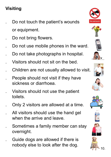# **Visiting**

- . Do not touch the patient's wounds or equipment.
- Do not bring flowers.
- . Do not use mobile phones in the ward.
- . Do not take photographs in hospital.
- . Visitors should not sit on the bed.
- . Children are not usually allowed to visit.
- . People should not visit if they have sickness or diarrhoea.
- . Visitors should not use the patient toilets.
- . Only 2 visitors are allowed at a time.
- . All visitors should use the hand gel when the arrive and leave.
- . Sometimes a family member can stay overnight.
	- . Guide dogs are allowed if there is nobody else to look after the dog.



















10.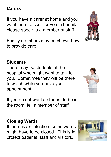#### 11.

#### **Carers**

If you have a carer at home and you want them to care for you in hospital, please speak to a member of staff.

Family members may be shown how to provide care.

#### **Students**

There may be students at the hospital who might want to talk to you. Sometimes they will be there to watch while you have your appointment.

If you do not want a student to be in the room, tell a member of staff.

### **Closing Wards**

If there is an infection, some wards might have to be closed. This is to protect patients, staff and visitors.





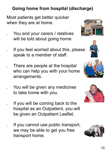#### **Going home from hospital (discharge)**

Most patients get better quicker when they are at home.

> You and your carers / relatives will be told about going home.

If you feel worried about this, please speak to a member of staff.

There are people at the hospital who can help you with your home arrangements.

You will be given any medicines to take home with you.

If you will be coming back to the hospital as an Outpatient, you will be given an Outpatient Leaflet.

. If you cannot use public transport, we may be able to get you free transport home.







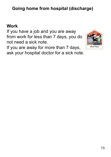# **Going home from hospital (discharge)**

#### **Work**

If you have a job and you are away from work for less than 7 days, you do not need a sick note.

If you are away for more than 7 days, ask your hospital doctor for a sick note.

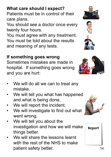#### **If something goes wrong**

Sometimes mistakes are made in hospital. If something goes wrong and you are hurt:

- We will do all we can to treat any mistake.
- We will tell you what has happened and what is being done.
- We will report the incident.
- We will investigate to find out what went wrong.
- We will tell you about the investigation and how we will make things better.
- We will share the lessons learnt with the rest of the NHS to make patient safety better.

#### **What care should I expect?**

Patients must be in control of their care plans.

You should see a doctor once every twenty four hours.

You must agree with any treatment. You must be told about the results and meaning of any tests.